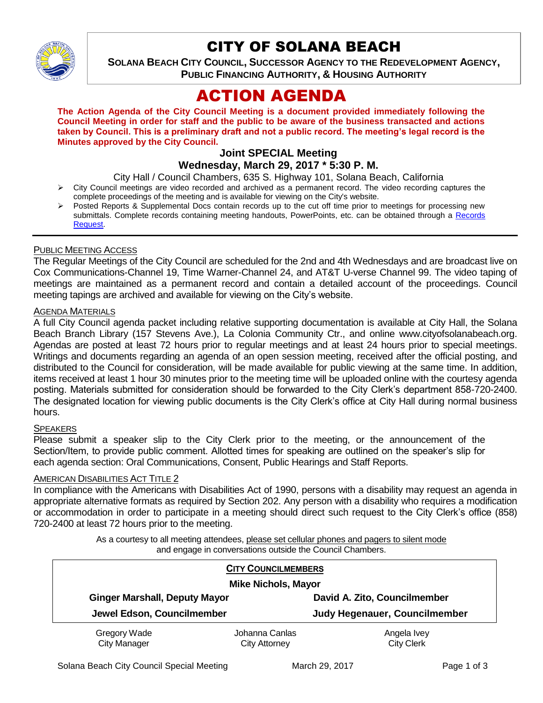

# CITY OF SOLANA BEACH

**SOLANA BEACH CITY COUNCIL, SUCCESSOR AGENCY TO THE REDEVELOPMENT AGENCY, PUBLIC FINANCING AUTHORITY, & HOUSING AUTHORITY** 

# ACTION AGENDA

**The Action Agenda of the City Council Meeting is a document provided immediately following the Council Meeting in order for staff and the public to be aware of the business transacted and actions taken by Council. This is a preliminary draft and not a public record. The meeting's legal record is the Minutes approved by the City Council.**

#### **Joint SPECIAL Meeting Wednesday, March 29, 2017 \* 5:30 P. M.**

City Hall / Council Chambers, 635 S. Highway 101, Solana Beach, California

- $\triangleright$  City Council meetings are video recorded and archived as a permanent record. The video recording captures the complete proceedings of the meeting and is available for viewing on the City's website.
- Posted Reports & Supplemental Docs contain records up to the cut off time prior to meetings for processing new submittals. Complete records containing meeting handouts, PowerPoints, etc. can be obtained through a Records [Request.](http://www.ci.solana-beach.ca.us/index.asp?SEC=F5D45D10-70CE-4291-A27C-7BD633FC6742&Type=B_BASIC)

## PUBLIC MEETING ACCESS

The Regular Meetings of the City Council are scheduled for the 2nd and 4th Wednesdays and are broadcast live on Cox Communications-Channel 19, Time Warner-Channel 24, and AT&T U-verse Channel 99. The video taping of meetings are maintained as a permanent record and contain a detailed account of the proceedings. Council meeting tapings are archived and available for viewing on the City's website.

#### AGENDA MATERIALS

A full City Council agenda packet including relative supporting documentation is available at City Hall, the Solana Beach Branch Library (157 Stevens Ave.), La Colonia Community Ctr., and online www.cityofsolanabeach.org. Agendas are posted at least 72 hours prior to regular meetings and at least 24 hours prior to special meetings. Writings and documents regarding an agenda of an open session meeting, received after the official posting, and distributed to the Council for consideration, will be made available for public viewing at the same time. In addition, items received at least 1 hour 30 minutes prior to the meeting time will be uploaded online with the courtesy agenda posting. Materials submitted for consideration should be forwarded to the City Clerk's department 858-720-2400. The designated location for viewing public documents is the City Clerk's office at City Hall during normal business hours.

#### **SPEAKERS**

Please submit a speaker slip to the City Clerk prior to the meeting, or the announcement of the Section/Item, to provide public comment. Allotted times for speaking are outlined on the speaker's slip for each agenda section: Oral Communications, Consent, Public Hearings and Staff Reports.

#### **AMERICAN DISABILITIES ACT TITLE 2**

In compliance with the Americans with Disabilities Act of 1990, persons with a disability may request an agenda in appropriate alternative formats as required by Section 202. Any person with a disability who requires a modification or accommodation in order to participate in a meeting should direct such request to the City Clerk's office (858) 720-2400 at least 72 hours prior to the meeting.

> As a courtesy to all meeting attendees, please set cellular phones and pagers to silent mode and engage in conversations outside the Council Chambers.

| <b>CITY COUNCILMEMBERS</b><br><b>Mike Nichols, Mayor</b> |                                        |                                  |
|----------------------------------------------------------|----------------------------------------|----------------------------------|
|                                                          |                                        |                                  |
| Jewel Edson, Councilmember                               |                                        | Judy Hegenauer, Councilmember    |
| Gregory Wade<br><b>City Manager</b>                      | Johanna Canlas<br><b>City Attorney</b> | Angela Ivey<br><b>City Clerk</b> |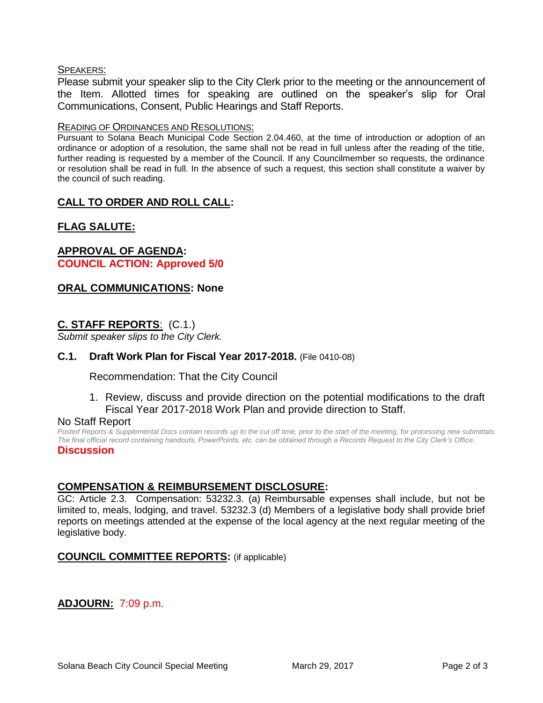## SPEAKERS:

Please submit your speaker slip to the City Clerk prior to the meeting or the announcement of the Item. Allotted times for speaking are outlined on the speaker's slip for Oral Communications, Consent, Public Hearings and Staff Reports.

## READING OF ORDINANCES AND RESOLUTIONS:

Pursuant to Solana Beach Municipal Code Section 2.04.460, at the time of introduction or adoption of an ordinance or adoption of a resolution, the same shall not be read in full unless after the reading of the title, further reading is requested by a member of the Council. If any Councilmember so requests, the ordinance or resolution shall be read in full. In the absence of such a request, this section shall constitute a waiver by the council of such reading.

# **CALL TO ORDER AND ROLL CALL:**

# **FLAG SALUTE:**

## **APPROVAL OF AGENDA: COUNCIL ACTION: Approved 5/0**

# **ORAL COMMUNICATIONS: None**

# **C. STAFF REPORTS**: (C.1.)

*Submit speaker slips to the City Clerk.*

## **C.1. Draft Work Plan for Fiscal Year 2017-2018.** (File 0410-08)

Recommendation: That the City Council

1. Review, discuss and provide direction on the potential modifications to the draft Fiscal Year 2017-2018 Work Plan and provide direction to Staff.

## No Staff Report

*Posted Reports & Supplemental Docs contain records up to the cut off time, prior to the start of the meeting, for processing new submittals. The final official record containing handouts, PowerPoints, etc. can be obtained through a Records Request to the City Clerk's Office.* **Discussion**

## **COMPENSATION & REIMBURSEMENT DISCLOSURE:**

GC: Article 2.3. Compensation: 53232.3. (a) Reimbursable expenses shall include, but not be limited to, meals, lodging, and travel. 53232.3 (d) Members of a legislative body shall provide brief reports on meetings attended at the expense of the local agency at the next regular meeting of the legislative body.

## **COUNCIL COMMITTEE REPORTS:** (if applicable)

# **ADJOURN:** 7:09 p.m.